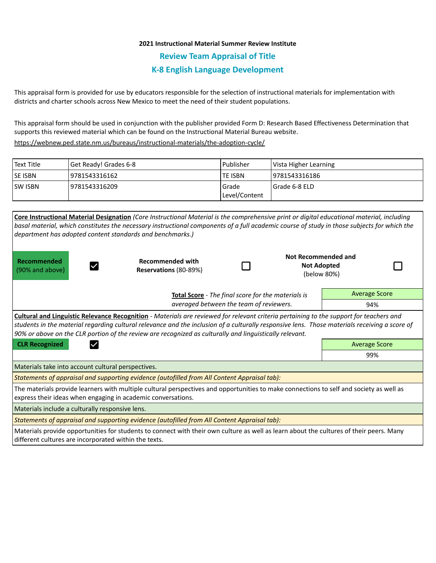## **2021 Instructional Material Summer Review Institute**

**Review Team Appraisal of Title**

## **K-8 English Language Development**

This appraisal form is provided for use by educators responsible for the selection of instructional materials for implementation with districts and charter schools across New Mexico to meet the need of their student populations.

This appraisal form should be used in conjunction with the publisher provided Form D: Research Based Effectiveness Determination that supports this reviewed material which can be found on the Instructional Material Bureau website.

<https://webnew.ped.state.nm.us/bureaus/instructional-materials/the-adoption-cycle/>

| l Text Title | Get Ready! Grades 6-8 | l Publisher               | Vista Higher Learning |
|--------------|-----------------------|---------------------------|-----------------------|
| lse isbn     | 9781543316162         | <b>TE ISBN</b>            | 19781543316186        |
| lsw Isbn     | 19781543316209        | l Grade<br> Level/Content | I Grade 6-8 ELD       |

|                                                                                                                                                                                                                                                                                                                                                                                                            | Core Instructional Material Designation (Core Instructional Material is the comprehensive print or digital educational material, including  |                                                    |  |                                                          |                      |  |  |  |
|------------------------------------------------------------------------------------------------------------------------------------------------------------------------------------------------------------------------------------------------------------------------------------------------------------------------------------------------------------------------------------------------------------|---------------------------------------------------------------------------------------------------------------------------------------------|----------------------------------------------------|--|----------------------------------------------------------|----------------------|--|--|--|
|                                                                                                                                                                                                                                                                                                                                                                                                            | basal material, which constitutes the necessary instructional components of a full academic course of study in those subjects for which the |                                                    |  |                                                          |                      |  |  |  |
|                                                                                                                                                                                                                                                                                                                                                                                                            | department has adopted content standards and benchmarks.)                                                                                   |                                                    |  |                                                          |                      |  |  |  |
| Recommended<br>(90% and above)                                                                                                                                                                                                                                                                                                                                                                             | <b>Recommended with</b><br>Reservations (80-89%)                                                                                            |                                                    |  | Not Recommended and<br><b>Not Adopted</b><br>(below 80%) |                      |  |  |  |
|                                                                                                                                                                                                                                                                                                                                                                                                            |                                                                                                                                             | Total Score - The final score for the materials is |  |                                                          | <b>Average Score</b> |  |  |  |
| averaged between the team of reviewers.                                                                                                                                                                                                                                                                                                                                                                    |                                                                                                                                             |                                                    |  | 94%                                                      |                      |  |  |  |
| <b>Cultural and Linguistic Relevance Recognition</b> - Materials are reviewed for relevant criteria pertaining to the support for teachers and<br>students in the material regarding cultural relevance and the inclusion of a culturally responsive lens. Those materials receiving a score of<br>90% or above on the CLR portion of the review are recognized as culturally and linguistically relevant. |                                                                                                                                             |                                                    |  |                                                          |                      |  |  |  |
| <b>CLR Recognized</b>                                                                                                                                                                                                                                                                                                                                                                                      |                                                                                                                                             | <b>Average Score</b>                               |  |                                                          |                      |  |  |  |
|                                                                                                                                                                                                                                                                                                                                                                                                            |                                                                                                                                             |                                                    |  | 99%                                                      |                      |  |  |  |
| Materials take into account cultural perspectives.                                                                                                                                                                                                                                                                                                                                                         |                                                                                                                                             |                                                    |  |                                                          |                      |  |  |  |
| Statements of appraisal and supporting evidence (autofilled from All Content Appraisal tab):                                                                                                                                                                                                                                                                                                               |                                                                                                                                             |                                                    |  |                                                          |                      |  |  |  |
| The materials provide learners with multiple cultural perspectives and opportunities to make connections to self and society as well as<br>express their ideas when engaging in academic conversations.                                                                                                                                                                                                    |                                                                                                                                             |                                                    |  |                                                          |                      |  |  |  |
| Materials include a culturally responsive lens.                                                                                                                                                                                                                                                                                                                                                            |                                                                                                                                             |                                                    |  |                                                          |                      |  |  |  |
| Statements of appraisal and supporting evidence (autofilled from All Content Appraisal tab):                                                                                                                                                                                                                                                                                                               |                                                                                                                                             |                                                    |  |                                                          |                      |  |  |  |
| different cultures are incorporated within the texts.                                                                                                                                                                                                                                                                                                                                                      | Materials provide opportunities for students to connect with their own culture as well as learn about the cultures of their peers. Many     |                                                    |  |                                                          |                      |  |  |  |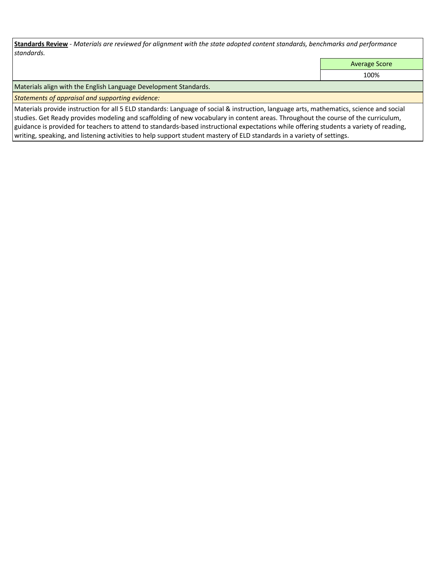**Standards Review** *- Materials are reviewed for alignment with the state adopted content standards, benchmarks and performance standards.*

Average Score

100%

Materials align with the English Language Development Standards.

*Statements of appraisal and supporting evidence:* 

Materials provide instruction for all 5 ELD standards: Language of social & instruction, language arts, mathematics, science and social studies. Get Ready provides modeling and scaffolding of new vocabulary in content areas. Throughout the course of the curriculum, guidance is provided for teachers to attend to standards-based instructional expectations while offering students a variety of reading, writing, speaking, and listening activities to help support student mastery of ELD standards in a variety of settings.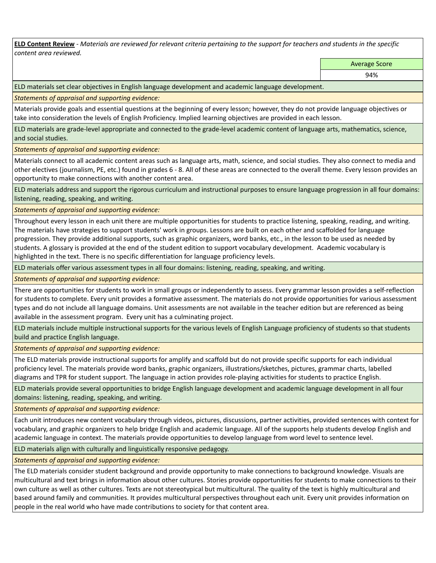**ELD Content Review** *- Materials are reviewed for relevant criteria pertaining to the support for teachers and students in the specific content area reviewed.*

Average Score

ELD materials set clear objectives in English language development and academic language development.

*Statements of appraisal and supporting evidence:* 

Materials provide goals and essential questions at the beginning of every lesson; however, they do not provide language objectives or take into consideration the levels of English Proficiency. Implied learning objectives are provided in each lesson.

ELD materials are grade-level appropriate and connected to the grade-level academic content of language arts, mathematics, science, and social studies.

*Statements of appraisal and supporting evidence:* 

Materials connect to all academic content areas such as language arts, math, science, and social studies. They also connect to media and other electives (journalism, PE, etc.) found in grades 6 - 8. All of these areas are connected to the overall theme. Every lesson provides an opportunity to make connections with another content area.

ELD materials address and support the rigorous curriculum and instructional purposes to ensure language progression in all four domains: listening, reading, speaking, and writing.

*Statements of appraisal and supporting evidence:* 

Throughout every lesson in each unit there are multiple opportunities for students to practice listening, speaking, reading, and writing. The materials have strategies to support students' work in groups. Lessons are built on each other and scaffolded for language progression. They provide additional supports, such as graphic organizers, word banks, etc., in the lesson to be used as needed by students. A glossary is provided at the end of the student edition to support vocabulary development. Academic vocabulary is highlighted in the text. There is no specific differentiation for language proficiency levels.

ELD materials offer various assessment types in all four domains: listening, reading, speaking, and writing.

*Statements of appraisal and supporting evidence:* 

There are opportunities for students to work in small groups or independently to assess. Every grammar lesson provides a self-reflection for students to complete. Every unit provides a formative assessment. The materials do not provide opportunities for various assessment types and do not include all language domains. Unit assessments are not available in the teacher edition but are referenced as being available in the assessment program. Every unit has a culminating project.

ELD materials include multiple instructional supports for the various levels of English Language proficiency of students so that students build and practice English language.

*Statements of appraisal and supporting evidence:* 

The ELD materials provide instructional supports for amplify and scaffold but do not provide specific supports for each individual proficiency level. The materials provide word banks, graphic organizers, illustrations/sketches, pictures, grammar charts, labelled diagrams and TPR for student support. The language in action provides role-playing activities for students to practice English.

ELD materials provide several opportunities to bridge English language development and academic language development in all four domains: listening, reading, speaking, and writing.

*Statements of appraisal and supporting evidence:* 

Each unit introduces new content vocabulary through videos, pictures, discussions, partner activities, provided sentences with context for vocabulary, and graphic organizers to help bridge English and academic language. All of the supports help students develop English and academic language in context. The materials provide opportunities to develop language from word level to sentence level.

ELD materials align with culturally and linguistically responsive pedagogy.

*Statements of appraisal and supporting evidence:* 

The ELD materials consider student background and provide opportunity to make connections to background knowledge. Visuals are multicultural and text brings in information about other cultures. Stories provide opportunities for students to make connections to their own culture as well as other cultures. Texts are not stereotypical but multicultural. The quality of the text is highly multicultural and based around family and communities. It provides multicultural perspectives throughout each unit. Every unit provides information on people in the real world who have made contributions to society for that content area.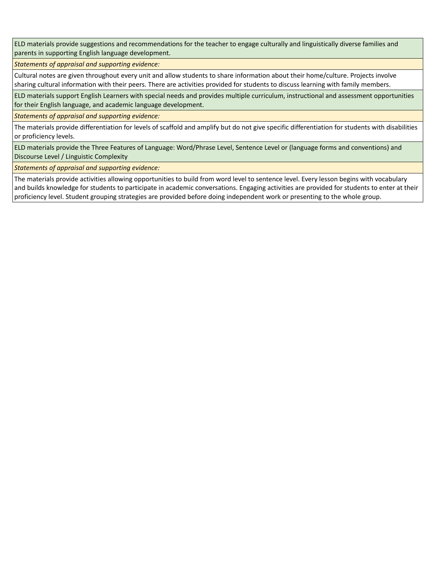ELD materials provide suggestions and recommendations for the teacher to engage culturally and linguistically diverse families and parents in supporting English language development.

*Statements of appraisal and supporting evidence:* 

Cultural notes are given throughout every unit and allow students to share information about their home/culture. Projects involve sharing cultural information with their peers. There are activities provided for students to discuss learning with family members.

ELD materials support English Learners with special needs and provides multiple curriculum, instructional and assessment opportunities for their English language, and academic language development.

*Statements of appraisal and supporting evidence:* 

The materials provide differentiation for levels of scaffold and amplify but do not give specific differentiation for students with disabilities or proficiency levels.

ELD materials provide the Three Features of Language: Word/Phrase Level, Sentence Level or (language forms and conventions) and Discourse Level / Linguistic Complexity

*Statements of appraisal and supporting evidence:* 

The materials provide activities allowing opportunities to build from word level to sentence level. Every lesson begins with vocabulary and builds knowledge for students to participate in academic conversations. Engaging activities are provided for students to enter at their proficiency level. Student grouping strategies are provided before doing independent work or presenting to the whole group.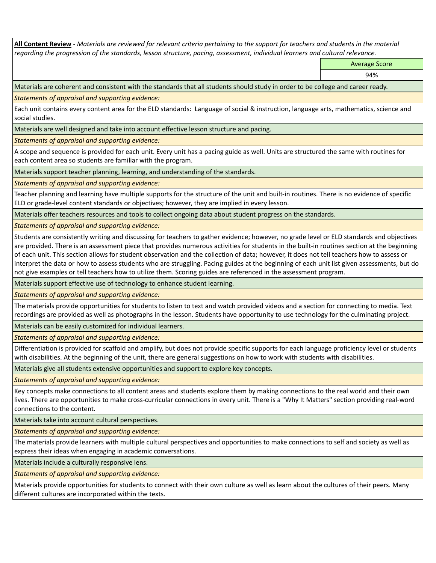**All Content Review** *- Materials are reviewed for relevant criteria pertaining to the support for teachers and students in the material regarding the progression of the standards, lesson structure, pacing, assessment, individual learners and cultural relevance.*

Average Score

94%

Materials are coherent and consistent with the standards that all students should study in order to be college and career ready.

*Statements of appraisal and supporting evidence:*

Each unit contains every content area for the ELD standards: Language of social & instruction, language arts, mathematics, science and social studies.

Materials are well designed and take into account effective lesson structure and pacing.

*Statements of appraisal and supporting evidence:*

A scope and sequence is provided for each unit. Every unit has a pacing guide as well. Units are structured the same with routines for each content area so students are familiar with the program.

Materials support teacher planning, learning, and understanding of the standards.

*Statements of appraisal and supporting evidence:*

Teacher planning and learning have multiple supports for the structure of the unit and built-in routines. There is no evidence of specific ELD or grade-level content standards or objectives; however, they are implied in every lesson.

Materials offer teachers resources and tools to collect ongoing data about student progress on the standards.

*Statements of appraisal and supporting evidence:*

Students are consistently writing and discussing for teachers to gather evidence; however, no grade level or ELD standards and objectives are provided. There is an assessment piece that provides numerous activities for students in the built-in routines section at the beginning of each unit. This section allows for student observation and the collection of data; however, it does not tell teachers how to assess or interpret the data or how to assess students who are struggling. Pacing guides at the beginning of each unit list given assessments, but do not give examples or tell teachers how to utilize them. Scoring guides are referenced in the assessment program.

Materials support effective use of technology to enhance student learning.

*Statements of appraisal and supporting evidence:*

The materials provide opportunities for students to listen to text and watch provided videos and a section for connecting to media. Text recordings are provided as well as photographs in the lesson. Students have opportunity to use technology for the culminating project.

Materials can be easily customized for individual learners.

*Statements of appraisal and supporting evidence:* 

Differentiation is provided for scaffold and amplify, but does not provide specific supports for each language proficiency level or students with disabilities. At the beginning of the unit, there are general suggestions on how to work with students with disabilities.

Materials give all students extensive opportunities and support to explore key concepts.

*Statements of appraisal and supporting evidence:*

Key concepts make connections to all content areas and students explore them by making connections to the real world and their own lives. There are opportunities to make cross-curricular connections in every unit. There is a "Why It Matters" section providing real-word connections to the content.

Materials take into account cultural perspectives.

*Statements of appraisal and supporting evidence:*

The materials provide learners with multiple cultural perspectives and opportunities to make connections to self and society as well as express their ideas when engaging in academic conversations.

Materials include a culturally responsive lens.

*Statements of appraisal and supporting evidence:*

Materials provide opportunities for students to connect with their own culture as well as learn about the cultures of their peers. Many different cultures are incorporated within the texts.